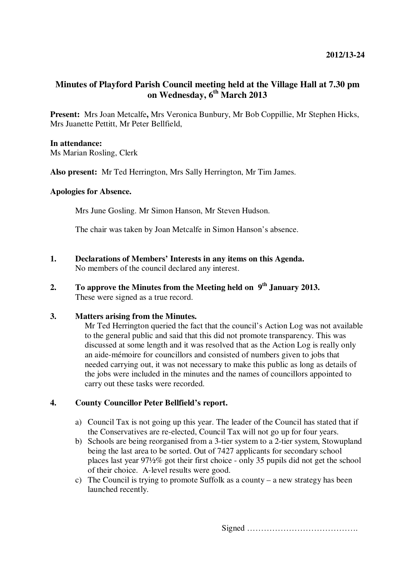# **Minutes of Playford Parish Council meeting held at the Village Hall at 7.30 pm on Wednesday, 6th March 2013**

**Present:** Mrs Joan Metcalfe**,** Mrs Veronica Bunbury, Mr Bob Coppillie, Mr Stephen Hicks, Mrs Juanette Pettitt, Mr Peter Bellfield,

### **In attendance:**

Ms Marian Rosling, Clerk

**Also present:** Mr Ted Herrington, Mrs Sally Herrington, Mr Tim James.

#### **Apologies for Absence.**

Mrs June Gosling. Mr Simon Hanson, Mr Steven Hudson.

The chair was taken by Joan Metcalfe in Simon Hanson's absence.

- **1. Declarations of Members' Interests in any items on this Agenda.**  No members of the council declared any interest.
- **2. To approve the Minutes from the Meeting held on 9th January 2013.**  These were signed as a true record.

## **3. Matters arising from the Minutes.**

Mr Ted Herrington queried the fact that the council's Action Log was not available to the general public and said that this did not promote transparency. This was discussed at some length and it was resolved that as the Action Log is really only an aide-mémoire for councillors and consisted of numbers given to jobs that needed carrying out, it was not necessary to make this public as long as details of the jobs were included in the minutes and the names of councillors appointed to carry out these tasks were recorded.

### **4. County Councillor Peter Bellfield's report.**

- a) Council Tax is not going up this year. The leader of the Council has stated that if the Conservatives are re-elected, Council Tax will not go up for four years.
- b) Schools are being reorganised from a 3-tier system to a 2-tier system, Stowupland being the last area to be sorted. Out of 7427 applicants for secondary school places last year 97½% got their first choice - only 35 pupils did not get the school of their choice. A-level results were good.
- c) The Council is trying to promote Suffolk as a county a new strategy has been launched recently.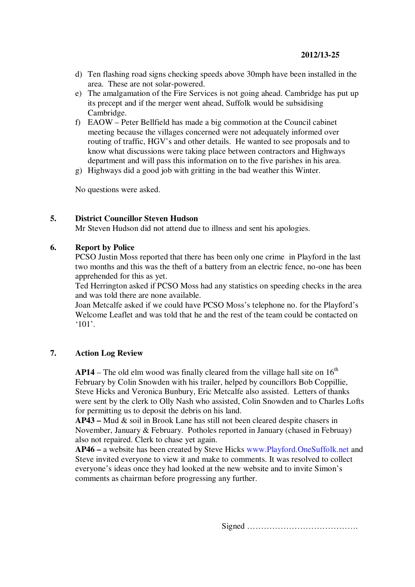- d) Ten flashing road signs checking speeds above 30mph have been installed in the area. These are not solar-powered.
- e) The amalgamation of the Fire Services is not going ahead. Cambridge has put up its precept and if the merger went ahead, Suffolk would be subsidising Cambridge.
- f) EAOW Peter Bellfield has made a big commotion at the Council cabinet meeting because the villages concerned were not adequately informed over routing of traffic, HGV's and other details. He wanted to see proposals and to know what discussions were taking place between contractors and Highways department and will pass this information on to the five parishes in his area.
- g) Highways did a good job with gritting in the bad weather this Winter.

No questions were asked.

#### **5. District Councillor Steven Hudson**

Mr Steven Hudson did not attend due to illness and sent his apologies.

### **6. Report by Police**

PCSO Justin Moss reported that there has been only one crime in Playford in the last two months and this was the theft of a battery from an electric fence, no-one has been apprehended for this as yet.

Ted Herrington asked if PCSO Moss had any statistics on speeding checks in the area and was told there are none available.

Joan Metcalfe asked if we could have PCSO Moss's telephone no. for the Playford's Welcome Leaflet and was told that he and the rest of the team could be contacted on '101'.

#### **7. Action Log Review**

**AP14** – The old elm wood was finally cleared from the village hall site on  $16<sup>th</sup>$ February by Colin Snowden with his trailer, helped by councillors Bob Coppillie, Steve Hicks and Veronica Bunbury, Eric Metcalfe also assisted. Letters of thanks were sent by the clerk to Olly Nash who assisted, Colin Snowden and to Charles Lofts for permitting us to deposit the debris on his land.

**AP43 –** Mud & soil in Brook Lane has still not been cleared despite chasers in November, January & February. Potholes reported in January (chased in Februay) also not repaired. Clerk to chase yet again.

**AP46 –** a website has been created by Steve Hicks www.Playford.OneSuffolk.net and Steve invited everyone to view it and make to comments. It was resolved to collect everyone's ideas once they had looked at the new website and to invite Simon's comments as chairman before progressing any further.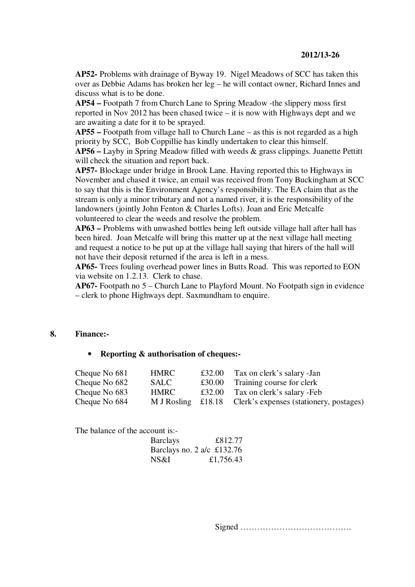#### **2012/13-26**

**AP52-** Problems with drainage of Byway 19. Nigel Meadows of SCC has taken this over as Debbie Adams has broken her leg – he will contact owner, Richard Innes and discuss what is to be done.

**AP54 –** Footpath 7 from Church Lane to Spring Meadow -the slippery moss first reported in Nov 2012 has been chased twice – it is now with Highways dept and we are awaiting a date for it to be sprayed.

**AP55 –** Footpath from village hall to Church Lane – as this is not regarded as a high priority by SCC, Bob Coppillie has kindly undertaken to clear this himself.

**AP56 –** Layby in Spring Meadow filled with weeds & grass clippings. Juanette Pettitt will check the situation and report back.

**AP57-** Blockage under bridge in Brook Lane. Having reported this to Highways in November and chased it twice, an email was received from Tony Buckingham at SCC to say that this is the Environment Agency's responsibility. The EA claim that as the stream is only a minor tributary and not a named river, it is the responsibility of the landowners (jointly John Fenton & Charles Lofts). Joan and Eric Metcalfe volunteered to clear the weeds and resolve the problem.

**AP63 –** Problems with unwashed bottles being left outside village hall after hall has been hired. Joan Metcalfe will bring this matter up at the next village hall meeting and request a notice to be put up at the village hall saying that hirers of the hall will not have their deposit returned if the area is left in a mess.

**AP65-** Trees fouling overhead power lines in Butts Road. This was reported to EON via website on 1.2.13. Clerk to chase.

**AP67-** Footpath no 5 – Church Lane to Playford Mount. No Footpath sign in evidence – clerk to phone Highways dept. Saxmundham to enquire.

#### **8. Finance:-**

#### • **Reporting & authorisation of cheques:-**

| Cheque No 681 | HMRC                 | £32.00 | Tax on clerk's salary -Jan              |
|---------------|----------------------|--------|-----------------------------------------|
| Cheque No 682 | SALC                 | £30.00 | Training course for clerk               |
| Cheque No 683 | <b>HMRC</b>          |        | £32.00 Tax on clerk's salary -Feb       |
| Cheque No 684 | M J Rosling $£18.18$ |        | Clerk's expenses (stationery, postages) |

The balance of the account is:-

| <b>Barclays</b> | £812.77                      |
|-----------------|------------------------------|
|                 | Barclays no. 2 a/c $£132.76$ |
| NS&I            | £1,756.43                    |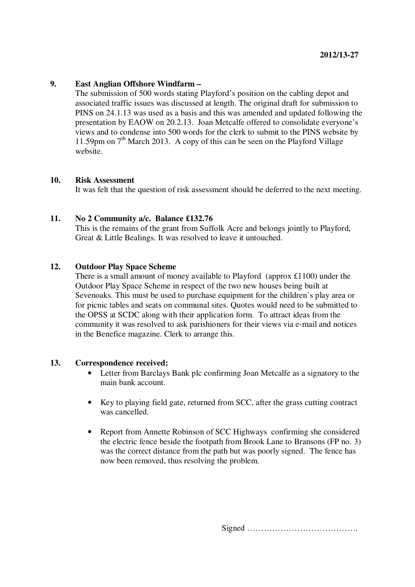#### **9. East Anglian Offshore Windfarm –**

The submission of 500 words stating Playford's position on the cabling depot and associated traffic issues was discussed at length. The original draft for submission to PINS on 24.1.13 was used as a basis and this was amended and updated following the presentation by EAOW on 20.2.13. Joan Metcalfe offered to consolidate everyone's views and to condense into 500 words for the clerk to submit to the PINS website by 11.59pm on  $7<sup>th</sup>$  March 2013. A copy of this can be seen on the Playford Village website.

#### **10. Risk Assessment**

It was felt that the question of risk assessment should be deferred to the next meeting.

### **11. No 2 Community a/c. Balance £132.76**

This is the remains of the grant from Suffolk Acre and belongs jointly to Playford, Great & Little Bealings. It was resolved to leave it untouched.

### **12. Outdoor Play Space Scheme**

There is a small amount of money available to Playford (approx £1100) under the Outdoor Play Space Scheme in respect of the two new houses being built at Sevenoaks. This must be used to purchase equipment for the children's play area or for picnic tables and seats on communal sites. Quotes would need to be submitted to the OPSS at SCDC along with their application form. To attract ideas from the community it was resolved to ask parishioners for their views via e-mail and notices in the Benefice magazine. Clerk to arrange this.

#### **13. Correspondence received:**

- Letter from Barclays Bank plc confirming Joan Metcalfe as a signatory to the main bank account.
- Key to playing field gate, returned from SCC, after the grass cutting contract was cancelled.
- Report from Annette Robinson of SCC Highways confirming she considered the electric fence beside the footpath from Brook Lane to Bransons (FP no. 3) was the correct distance from the path but was poorly signed. The fence has now been removed, thus resolving the problem.